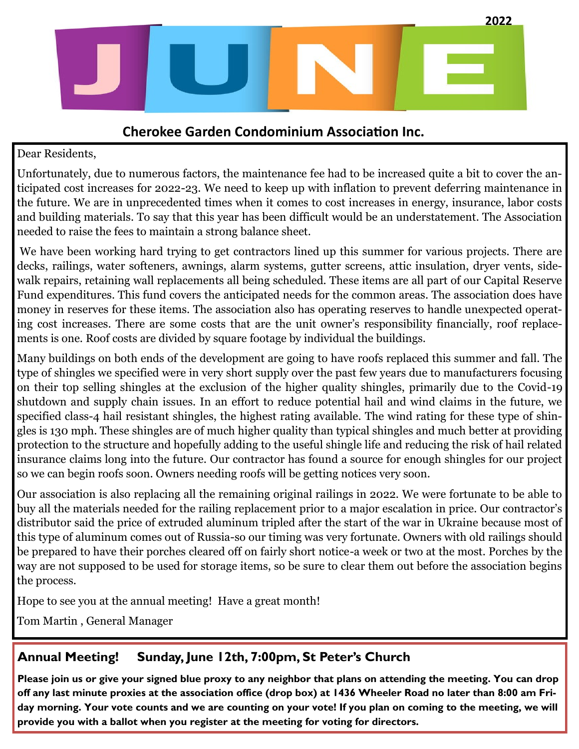

### **Cherokee Garden Condominium Association Inc.**

#### Dear Residents,

Unfortunately, due to numerous factors, the maintenance fee had to be increased quite a bit to cover the anticipated cost increases for 2022-23. We need to keep up with inflation to prevent deferring maintenance in the future. We are in unprecedented times when it comes to cost increases in energy, insurance, labor costs and building materials. To say that this year has been difficult would be an understatement. The Association needed to raise the fees to maintain a strong balance sheet.

We have been working hard trying to get contractors lined up this summer for various projects. There are decks, railings, water softeners, awnings, alarm systems, gutter screens, attic insulation, dryer vents, sidewalk repairs, retaining wall replacements all being scheduled. These items are all part of our Capital Reserve Fund expenditures. This fund covers the anticipated needs for the common areas. The association does have money in reserves for these items. The association also has operating reserves to handle unexpected operating cost increases. There are some costs that are the unit owner's responsibility financially, roof replacements is one. Roof costs are divided by square footage by individual the buildings.

Many buildings on both ends of the development are going to have roofs replaced this summer and fall. The type of shingles we specified were in very short supply over the past few years due to manufacturers focusing on their top selling shingles at the exclusion of the higher quality shingles, primarily due to the Covid-19 shutdown and supply chain issues. In an effort to reduce potential hail and wind claims in the future, we specified class-4 hail resistant shingles, the highest rating available. The wind rating for these type of shingles is 130 mph. These shingles are of much higher quality than typical shingles and much better at providing protection to the structure and hopefully adding to the useful shingle life and reducing the risk of hail related insurance claims long into the future. Our contractor has found a source for enough shingles for our project so we can begin roofs soon. Owners needing roofs will be getting notices very soon.

Our association is also replacing all the remaining original railings in 2022. We were fortunate to be able to buy all the materials needed for the railing replacement prior to a major escalation in price. Our contractor's distributor said the price of extruded aluminum tripled after the start of the war in Ukraine because most of this type of aluminum comes out of Russia-so our timing was very fortunate. Owners with old railings should be prepared to have their porches cleared off on fairly short notice-a week or two at the most. Porches by the way are not supposed to be used for storage items, so be sure to clear them out before the association begins the process.

Hope to see you at the annual meeting! Have a great month!

Tom Martin , General Manager

#### **Annual Meeting! Sunday, June 12th, 7:00pm, St Peter's Church**

**Please join us or give your signed blue proxy to any neighbor that plans on attending the meeting. You can drop off any last minute proxies at the association office (drop box) at 1436 Wheeler Road no later than 8:00 am Friday morning. Your vote counts and we are counting on your vote! If you plan on coming to the meeting, we will provide you with a ballot when you register at the meeting for voting for directors.**